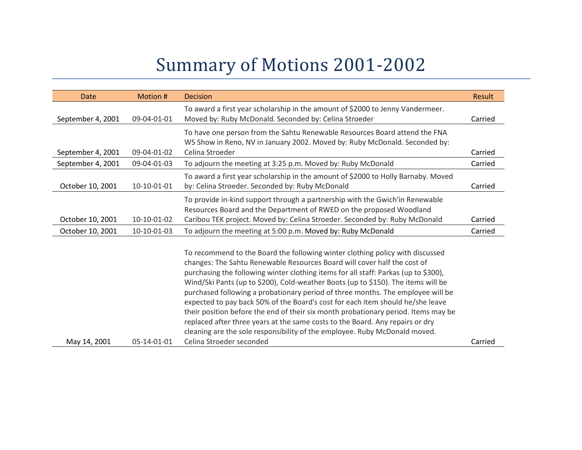## Summary of Motions 2001-2002

| Date              | Motion #    | <b>Decision</b>                                                                                                                                                                                                                                                                                                                                                                                                                                                                                                                                                                                                                                                                                                                                                 | Result  |
|-------------------|-------------|-----------------------------------------------------------------------------------------------------------------------------------------------------------------------------------------------------------------------------------------------------------------------------------------------------------------------------------------------------------------------------------------------------------------------------------------------------------------------------------------------------------------------------------------------------------------------------------------------------------------------------------------------------------------------------------------------------------------------------------------------------------------|---------|
| September 4, 2001 | 09-04-01-01 | To award a first year scholarship in the amount of \$2000 to Jenny Vandermeer.<br>Moved by: Ruby McDonald. Seconded by: Celina Stroeder                                                                                                                                                                                                                                                                                                                                                                                                                                                                                                                                                                                                                         | Carried |
| September 4, 2001 | 09-04-01-02 | To have one person from the Sahtu Renewable Resources Board attend the FNA<br>WS Show in Reno, NV in January 2002. Moved by: Ruby McDonald. Seconded by:<br>Celina Stroeder                                                                                                                                                                                                                                                                                                                                                                                                                                                                                                                                                                                     | Carried |
| September 4, 2001 | 09-04-01-03 | To adjourn the meeting at 3:25 p.m. Moved by: Ruby McDonald                                                                                                                                                                                                                                                                                                                                                                                                                                                                                                                                                                                                                                                                                                     | Carried |
| October 10, 2001  | 10-10-01-01 | To award a first year scholarship in the amount of \$2000 to Holly Barnaby. Moved<br>by: Celina Stroeder. Seconded by: Ruby McDonald                                                                                                                                                                                                                                                                                                                                                                                                                                                                                                                                                                                                                            | Carried |
| October 10, 2001  | 10-10-01-02 | To provide in-kind support through a partnership with the Gwich'in Renewable<br>Resources Board and the Department of RWED on the proposed Woodland<br>Caribou TEK project. Moved by: Celina Stroeder. Seconded by: Ruby McDonald                                                                                                                                                                                                                                                                                                                                                                                                                                                                                                                               | Carried |
| October 10, 2001  | 10-10-01-03 | To adjourn the meeting at 5:00 p.m. Moved by: Ruby McDonald                                                                                                                                                                                                                                                                                                                                                                                                                                                                                                                                                                                                                                                                                                     | Carried |
|                   |             | To recommend to the Board the following winter clothing policy with discussed<br>changes: The Sahtu Renewable Resources Board will cover half the cost of<br>purchasing the following winter clothing items for all staff: Parkas (up to \$300),<br>Wind/Ski Pants (up to \$200), Cold-weather Boots (up to \$150). The items will be<br>purchased following a probationary period of three months. The employee will be<br>expected to pay back 50% of the Board's cost for each item should he/she leave<br>their position before the end of their six month probationary period. Items may be<br>replaced after three years at the same costs to the Board. Any repairs or dry<br>cleaning are the sole responsibility of the employee. Ruby McDonald moved. |         |

Celina Stroeder seconded Carried Carried Carried

May 14, 2001 05-14-01-01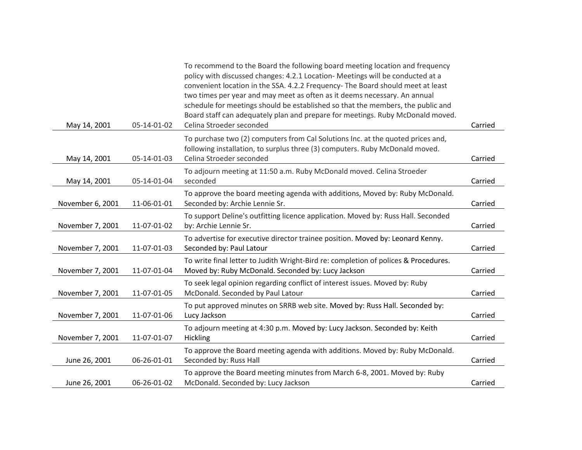| May 14, 2001     | 05-14-01-02 | To recommend to the Board the following board meeting location and frequency<br>policy with discussed changes: 4.2.1 Location- Meetings will be conducted at a<br>convenient location in the SSA. 4.2.2 Frequency- The Board should meet at least<br>two times per year and may meet as often as it deems necessary. An annual<br>schedule for meetings should be established so that the members, the public and<br>Board staff can adequately plan and prepare for meetings. Ruby McDonald moved.<br>Celina Stroeder seconded | Carried |
|------------------|-------------|---------------------------------------------------------------------------------------------------------------------------------------------------------------------------------------------------------------------------------------------------------------------------------------------------------------------------------------------------------------------------------------------------------------------------------------------------------------------------------------------------------------------------------|---------|
| May 14, 2001     | 05-14-01-03 | To purchase two (2) computers from Cal Solutions Inc. at the quoted prices and,<br>following installation, to surplus three (3) computers. Ruby McDonald moved.<br>Celina Stroeder seconded                                                                                                                                                                                                                                                                                                                                     | Carried |
| May 14, 2001     | 05-14-01-04 | To adjourn meeting at 11:50 a.m. Ruby McDonald moved. Celina Stroeder<br>seconded                                                                                                                                                                                                                                                                                                                                                                                                                                               | Carried |
| November 6, 2001 | 11-06-01-01 | To approve the board meeting agenda with additions, Moved by: Ruby McDonald.<br>Seconded by: Archie Lennie Sr.                                                                                                                                                                                                                                                                                                                                                                                                                  | Carried |
| November 7, 2001 | 11-07-01-02 | To support Deline's outfitting licence application. Moved by: Russ Hall. Seconded<br>by: Archie Lennie Sr.                                                                                                                                                                                                                                                                                                                                                                                                                      | Carried |
| November 7, 2001 | 11-07-01-03 | To advertise for executive director trainee position. Moved by: Leonard Kenny.<br>Seconded by: Paul Latour                                                                                                                                                                                                                                                                                                                                                                                                                      | Carried |
| November 7, 2001 | 11-07-01-04 | To write final letter to Judith Wright-Bird re: completion of polices & Procedures.<br>Moved by: Ruby McDonald. Seconded by: Lucy Jackson                                                                                                                                                                                                                                                                                                                                                                                       | Carried |
| November 7, 2001 | 11-07-01-05 | To seek legal opinion regarding conflict of interest issues. Moved by: Ruby<br>McDonald. Seconded by Paul Latour                                                                                                                                                                                                                                                                                                                                                                                                                | Carried |
| November 7, 2001 | 11-07-01-06 | To put approved minutes on SRRB web site. Moved by: Russ Hall. Seconded by:<br>Lucy Jackson                                                                                                                                                                                                                                                                                                                                                                                                                                     | Carried |
| November 7, 2001 | 11-07-01-07 | To adjourn meeting at 4:30 p.m. Moved by: Lucy Jackson. Seconded by: Keith<br>Hickling                                                                                                                                                                                                                                                                                                                                                                                                                                          | Carried |
| June 26, 2001    | 06-26-01-01 | To approve the Board meeting agenda with additions. Moved by: Ruby McDonald.<br>Seconded by: Russ Hall                                                                                                                                                                                                                                                                                                                                                                                                                          | Carried |
| June 26, 2001    | 06-26-01-02 | To approve the Board meeting minutes from March 6-8, 2001. Moved by: Ruby<br>McDonald. Seconded by: Lucy Jackson                                                                                                                                                                                                                                                                                                                                                                                                                | Carried |
|                  |             |                                                                                                                                                                                                                                                                                                                                                                                                                                                                                                                                 |         |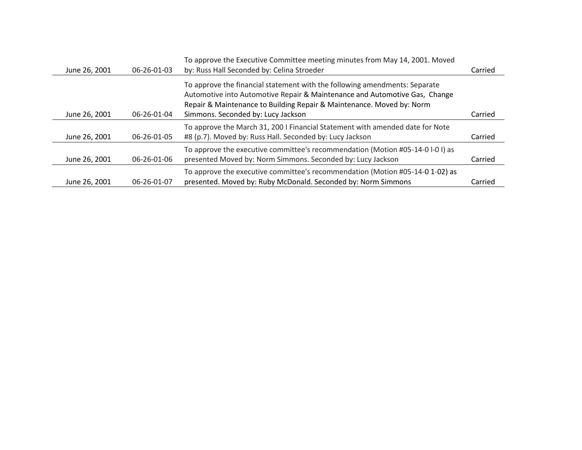| June 26, 2001 | 06-26-01-03 | To approve the Executive Committee meeting minutes from May 14, 2001. Moved<br>by: Russ Hall Seconded by: Celina Stroeder                                                                                                                                               | Carried |
|---------------|-------------|-------------------------------------------------------------------------------------------------------------------------------------------------------------------------------------------------------------------------------------------------------------------------|---------|
| June 26, 2001 | 06-26-01-04 | To approve the financial statement with the following amendments: Separate<br>Automotive into Automotive Repair & Maintenance and Automotive Gas, Change<br>Repair & Maintenance to Building Repair & Maintenance. Moved by: Norm<br>Simmons. Seconded by: Lucy Jackson | Carried |
|               |             |                                                                                                                                                                                                                                                                         |         |
|               |             | To approve the March 31, 200 I Financial Statement with amended date for Note                                                                                                                                                                                           |         |
| June 26, 2001 | 06-26-01-05 | #8 (p.7). Moved by: Russ Hall. Seconded by: Lucy Jackson                                                                                                                                                                                                                | Carried |
| June 26, 2001 | 06-26-01-06 | To approve the executive committee's recommendation (Motion #05-14-0 l-0 l) as<br>presented Moved by: Norm Simmons. Seconded by: Lucy Jackson                                                                                                                           | Carried |
|               |             | To approve the executive committee's recommendation (Motion #05-14-0 1-02) as                                                                                                                                                                                           |         |
| June 26, 2001 | 06-26-01-07 | presented. Moved by: Ruby McDonald. Seconded by: Norm Simmons                                                                                                                                                                                                           | Carried |
|               |             |                                                                                                                                                                                                                                                                         |         |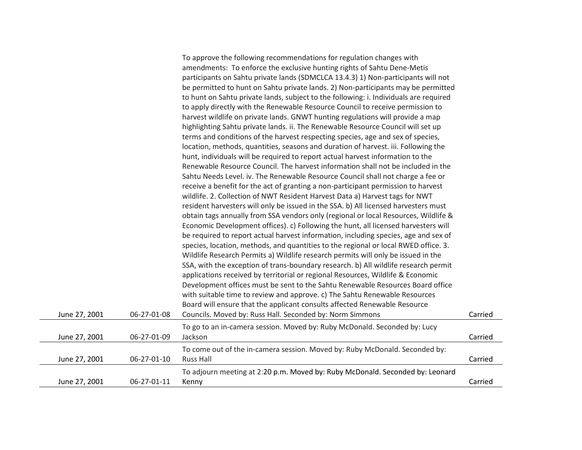|               |             | To approve the following recommendations for regulation changes with                  |         |
|---------------|-------------|---------------------------------------------------------------------------------------|---------|
|               |             | amendments: To enforce the exclusive hunting rights of Sahtu Dene-Metis               |         |
|               |             | participants on Sahtu private lands (SDMCLCA 13.4.3) 1) Non-participants will not     |         |
|               |             | be permitted to hunt on Sahtu private lands. 2) Non-participants may be permitted     |         |
|               |             | to hunt on Sahtu private lands, subject to the following: i. Individuals are required |         |
|               |             | to apply directly with the Renewable Resource Council to receive permission to        |         |
|               |             | harvest wildlife on private lands. GNWT hunting regulations will provide a map        |         |
|               |             | highlighting Sahtu private lands. ii. The Renewable Resource Council will set up      |         |
|               |             | terms and conditions of the harvest respecting species, age and sex of species,       |         |
|               |             | location, methods, quantities, seasons and duration of harvest. iii. Following the    |         |
|               |             | hunt, individuals will be required to report actual harvest information to the        |         |
|               |             | Renewable Resource Council. The harvest information shall not be included in the      |         |
|               |             | Sahtu Needs Level. iv. The Renewable Resource Council shall not charge a fee or       |         |
|               |             | receive a benefit for the act of granting a non-participant permission to harvest     |         |
|               |             | wildlife. 2. Collection of NWT Resident Harvest Data a) Harvest tags for NWT          |         |
|               |             | resident harvesters will only be issued in the SSA. b) All licensed harvesters must   |         |
|               |             | obtain tags annually from SSA vendors only (regional or local Resources, Wildlife &   |         |
|               |             | Economic Development offices). c) Following the hunt, all licensed harvesters will    |         |
|               |             | be required to report actual harvest information, including species, age and sex of   |         |
|               |             | species, location, methods, and quantities to the regional or local RWED office. 3.   |         |
|               |             | Wildlife Research Permits a) Wildlife research permits will only be issued in the     |         |
|               |             | SSA, with the exception of trans-boundary research. b) All wildlife research permit   |         |
|               |             | applications received by territorial or regional Resources, Wildlife & Economic       |         |
|               |             | Development offices must be sent to the Sahtu Renewable Resources Board office        |         |
|               |             | with suitable time to review and approve. c) The Sahtu Renewable Resources            |         |
|               |             | Board will ensure that the applicant consults affected Renewable Resource             |         |
| June 27, 2001 | 06-27-01-08 | Councils. Moved by: Russ Hall. Seconded by: Norm Simmons                              | Carried |
|               |             | To go to an in-camera session. Moved by: Ruby McDonald. Seconded by: Lucy             |         |
| June 27, 2001 | 06-27-01-09 | Jackson                                                                               | Carried |
|               |             | To come out of the in-camera session. Moved by: Ruby McDonald. Seconded by:           |         |
| June 27, 2001 | 06-27-01-10 | <b>Russ Hall</b>                                                                      | Carried |
|               |             |                                                                                       |         |
|               |             | To adjourn meeting at 2:20 p.m. Moved by: Ruby McDonald. Seconded by: Leonard         |         |
| June 27, 2001 | 06-27-01-11 | Kenny                                                                                 | Carried |